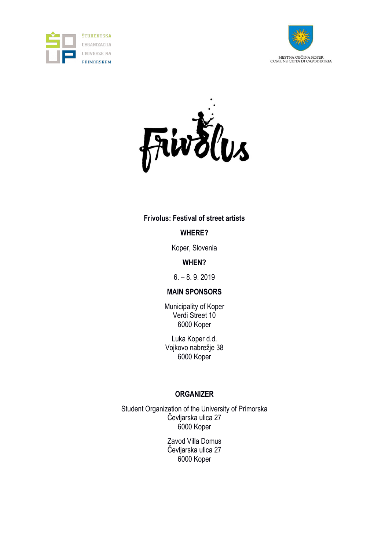





### **Frivolus: Festival of street artists**

# **WHERE?**

Koper, Slovenia

# **WHEN?**

6. – 8. 9. 2019

# **MAIN SPONSORS**

Municipality of Koper Verdi Street 10 6000 Koper

Luka Koper d.d. Vojkovo nabrežje 38 6000 Koper

# **ORGANIZER**

Student Organization of the University of Primorska Čevljarska ulica 27 6000 Koper

> Zavod Villa Domus Čevljarska ulica 27 6000 Koper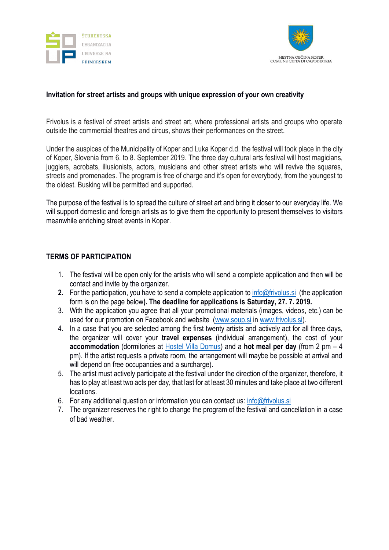



### **Invitation for street artists and groups with unique expression of your own creativity**

Frivolus is a festival of street artists and street art, where professional artists and groups who operate outside the commercial theatres and circus, shows their performances on the street.

Under the auspices of the Municipality of Koper and Luka Koper d.d. the festival will took place in the city of Koper, Slovenia from 6. to 8. September 2019. The three day cultural arts festival will host magicians, jugglers, acrobats, illusionists, actors, musicians and other street artists who will revive the squares, streets and promenades. The program is free of charge and it's open for everybody, from the youngest to the oldest. Busking will be permitted and supported.

The purpose of the festival is to spread the culture of street art and bring it closer to our everyday life. We will support domestic and foreign artists as to give them the opportunity to present themselves to visitors meanwhile enriching street events in Koper.

#### **TERMS OF PARTICIPATION**

- 1. The festival will be open only for the artists who will send a complete application and then will be contact and invite by the organizer.
- **2.** For the participation, you have to send a complete application to [info@frivolus.si](mailto:info@frivolus.si) (the application form is on the page below**). The deadline for applications is Saturday, 27. 7. 2019.**
- 3. With the application you agree that all your promotional materials (images, videos, etc.) can be used for our promotion on Facebook and website [\(www.soup.si](http://www.soup.si/) in [www.frivolus.si\)](http://www.frivolus.si/).
- 4. In a case that you are selected among the first twenty artists and actively act for all three days, the organizer will cover your **travel expenses** (individual arrangement), the cost of your **accommodation** (dormitories at [Hostel Villa Domus\)](mailto:https://www.villa-domus.si/eng/hostel) and a **hot meal per day** (from 2 pm – 4 pm). If the artist requests a private room, the arrangement will maybe be possible at arrival and will depend on free occupancies and a surcharge).
- 5. The artist must actively participate at the festival under the direction of the organizer, therefore, it has to play at least two acts per day, that last for at least 30 minutes and take place at two different locations.
- 6. For any additional question or information you can contact us: [info@frivolus.si](mailto:info@frivolus.si)
- 7. The organizer reserves the right to change the program of the festival and cancellation in a case of bad weather.